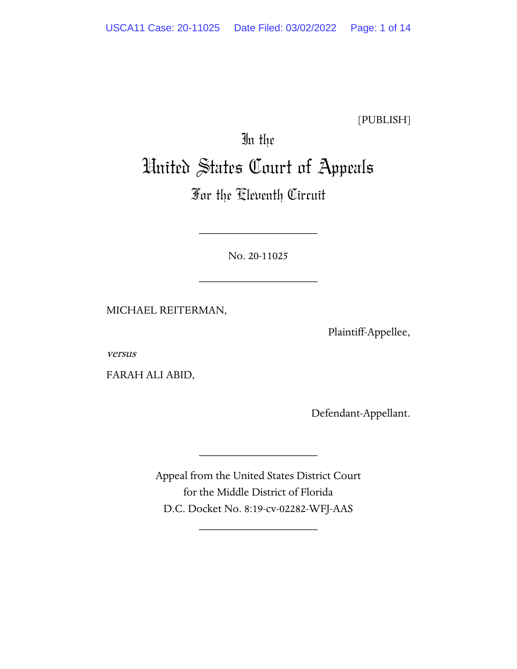[PUBLISH]

# In the United States Court of Appeals

# For the Eleventh Circuit

No. 20-11025

\_\_\_\_\_\_\_\_\_\_\_\_\_\_\_\_\_\_\_\_

\_\_\_\_\_\_\_\_\_\_\_\_\_\_\_\_\_\_\_\_

MICHAEL REITERMAN,

Plaintiff-Appellee,

versus

FARAH ALI ABID,

Defendant-Appellant.

Appeal from the United States District Court for the Middle District of Florida D.C. Docket No. 8:19-cv-02282-WFJ-AAS

\_\_\_\_\_\_\_\_\_\_\_\_\_\_\_\_\_\_\_\_

\_\_\_\_\_\_\_\_\_\_\_\_\_\_\_\_\_\_\_\_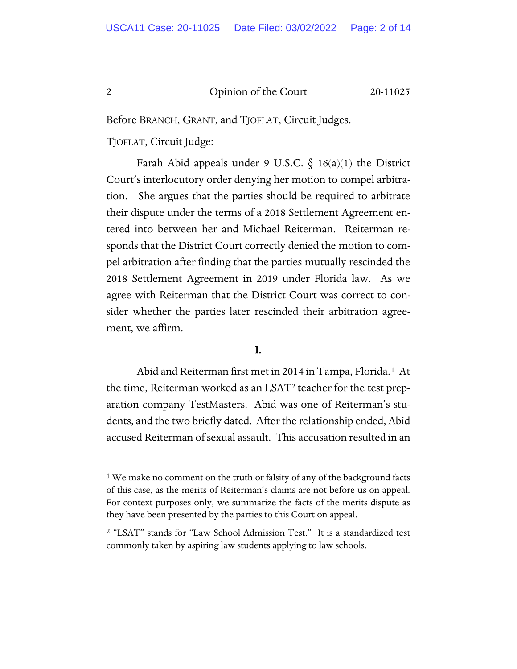Before BRANCH, GRANT, and TJOFLAT, Circuit Judges.

TJOFLAT, Circuit Judge:

Farah Abid appeals under 9 U.S.C.  $\delta$  16(a)(1) the District Court's interlocutory order denying her motion to compel arbitration. She argues that the parties should be required to arbitrate their dispute under the terms of a 2018 Settlement Agreement entered into between her and Michael Reiterman. Reiterman responds that the District Court correctly denied the motion to compel arbitration after finding that the parties mutually rescinded the 2018 Settlement Agreement in 2019 under Florida law. As we agree with Reiterman that the District Court was correct to consider whether the parties later rescinded their arbitration agreement, we affirm.

# I.

Abid and Reiterman first met in 2014 in Tampa, Florida.[1](#page-1-0) At the time, Reiterman worked as an LSAT[2](#page-1-1) teacher for the test preparation company TestMasters. Abid was one of Reiterman's students, and the two briefly dated. After the relationship ended, Abid accused Reiterman of sexual assault. This accusation resulted in an

<span id="page-1-0"></span><sup>&</sup>lt;sup>1</sup> We make no comment on the truth or falsity of any of the background facts of this case, as the merits of Reiterman's claims are not before us on appeal. For context purposes only, we summarize the facts of the merits dispute as they have been presented by the parties to this Court on appeal.

<span id="page-1-1"></span><sup>&</sup>lt;sup>2</sup> "LSAT" stands for "Law School Admission Test." It is a standardized test commonly taken by aspiring law students applying to law schools.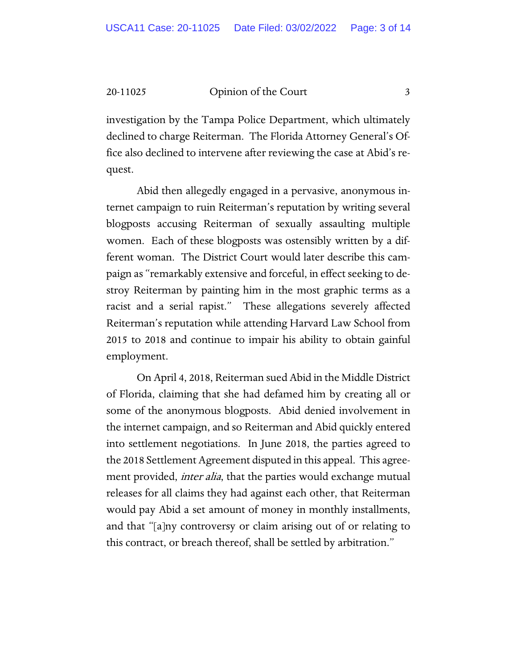investigation by the Tampa Police Department, which ultimately declined to charge Reiterman. The Florida Attorney General's Office also declined to intervene after reviewing the case at Abid's request.

Abid then allegedly engaged in a pervasive, anonymous internet campaign to ruin Reiterman's reputation by writing several blogposts accusing Reiterman of sexually assaulting multiple women. Each of these blogposts was ostensibly written by a different woman. The District Court would later describe this campaign as "remarkably extensive and forceful, in effect seeking to destroy Reiterman by painting him in the most graphic terms as a racist and a serial rapist." These allegations severely affected Reiterman's reputation while attending Harvard Law School from 2015 to 2018 and continue to impair his ability to obtain gainful employment.

On April 4, 2018, Reiterman sued Abid in the Middle District of Florida, claiming that she had defamed him by creating all or some of the anonymous blogposts. Abid denied involvement in the internet campaign, and so Reiterman and Abid quickly entered into settlement negotiations. In June 2018, the parties agreed to the 2018 Settlement Agreement disputed in this appeal. This agreement provided, *inter alia*, that the parties would exchange mutual releases for all claims they had against each other, that Reiterman would pay Abid a set amount of money in monthly installments, and that "[a]ny controversy or claim arising out of or relating to this contract, or breach thereof, shall be settled by arbitration."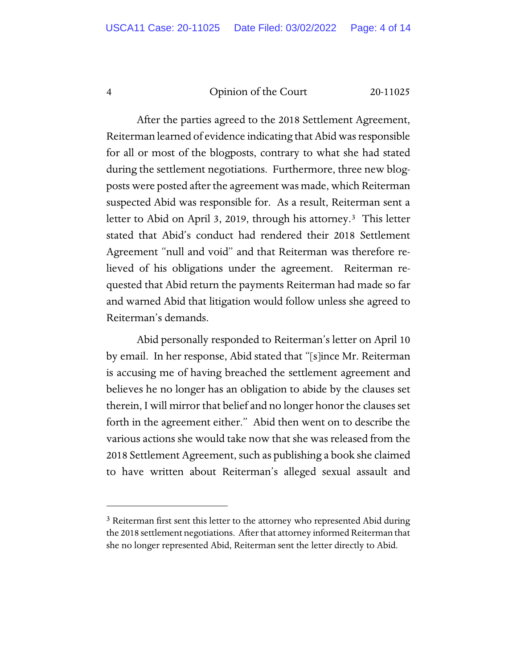After the parties agreed to the 2018 Settlement Agreement, Reiterman learned of evidence indicating that Abid was responsible for all or most of the blogposts, contrary to what she had stated during the settlement negotiations. Furthermore, three new blogposts were posted after the agreement was made, which Reiterman suspected Abid was responsible for. As a result, Reiterman sent a letter to Abid on April [3](#page-3-0), 2019, through his attorney.<sup>3</sup> This letter stated that Abid's conduct had rendered their 2018 Settlement Agreement "null and void" and that Reiterman was therefore relieved of his obligations under the agreement. Reiterman requested that Abid return the payments Reiterman had made so far and warned Abid that litigation would follow unless she agreed to Reiterman's demands.

Abid personally responded to Reiterman's letter on April 10 by email. In her response, Abid stated that "[s]ince Mr. Reiterman is accusing me of having breached the settlement agreement and believes he no longer has an obligation to abide by the clauses set therein, I will mirror that belief and no longer honor the clauses set forth in the agreement either." Abid then went on to describe the various actions she would take now that she was released from the 2018 Settlement Agreement, such as publishing a book she claimed to have written about Reiterman's alleged sexual assault and

<span id="page-3-0"></span><sup>&</sup>lt;sup>3</sup> Reiterman first sent this letter to the attorney who represented Abid during the 2018 settlement negotiations. After that attorney informed Reiterman that she no longer represented Abid, Reiterman sent the letter directly to Abid.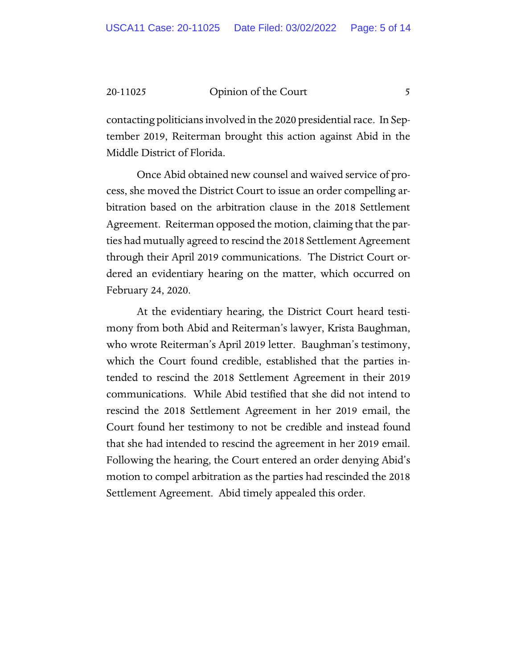contacting politicians involved in the 2020 presidential race. In September 2019, Reiterman brought this action against Abid in the Middle District of Florida.

Once Abid obtained new counsel and waived service of process, she moved the District Court to issue an order compelling arbitration based on the arbitration clause in the 2018 Settlement Agreement. Reiterman opposed the motion, claiming that the parties had mutually agreed to rescind the 2018 Settlement Agreement through their April 2019 communications. The District Court ordered an evidentiary hearing on the matter, which occurred on February 24, 2020.

 At the evidentiary hearing, the District Court heard testimony from both Abid and Reiterman's lawyer, Krista Baughman, who wrote Reiterman's April 2019 letter. Baughman's testimony, which the Court found credible, established that the parties intended to rescind the 2018 Settlement Agreement in their 2019 communications. While Abid testified that she did not intend to rescind the 2018 Settlement Agreement in her 2019 email, the Court found her testimony to not be credible and instead found that she had intended to rescind the agreement in her 2019 email. Following the hearing, the Court entered an order denying Abid's motion to compel arbitration as the parties had rescinded the 2018 Settlement Agreement. Abid timely appealed this order.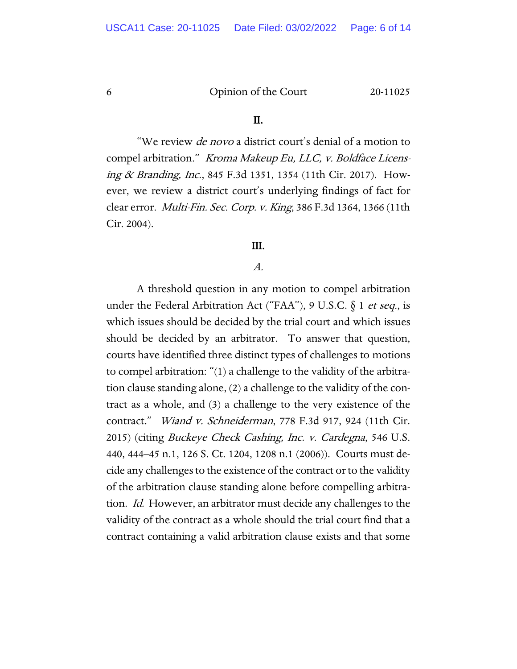#### II.

"We review de novo a district court's denial of a motion to compel arbitration." Kroma Makeup Eu, LLC, v. Boldface Licensing & Branding, Inc., 845 F.3d 1351, 1354 (11th Cir. 2017). However, we review a district court's underlying findings of fact for clear error. Multi-Fin. Sec. Corp. v. King, 386 F.3d 1364, 1366 (11th Cir. 2004).

# III.

# A.

A threshold question in any motion to compel arbitration under the Federal Arbitration Act ("FAA"), 9 U.S.C.  $\S 1$  *et seq.*, is which issues should be decided by the trial court and which issues should be decided by an arbitrator. To answer that question, courts have identified three distinct types of challenges to motions to compel arbitration: "(1) a challenge to the validity of the arbitration clause standing alone, (2) a challenge to the validity of the contract as a whole, and (3) a challenge to the very existence of the contract." Wiand v. Schneiderman, 778 F.3d 917, 924 (11th Cir. 2015) (citing Buckeye Check Cashing, Inc. v. Cardegna, 546 U.S. 440, 444–45 n.1, 126 S. Ct. 1204, 1208 n.1 (2006)). Courts must decide any challenges to the existence of the contract or to the validity of the arbitration clause standing alone before compelling arbitration. Id. However, an arbitrator must decide any challenges to the validity of the contract as a whole should the trial court find that a contract containing a valid arbitration clause exists and that some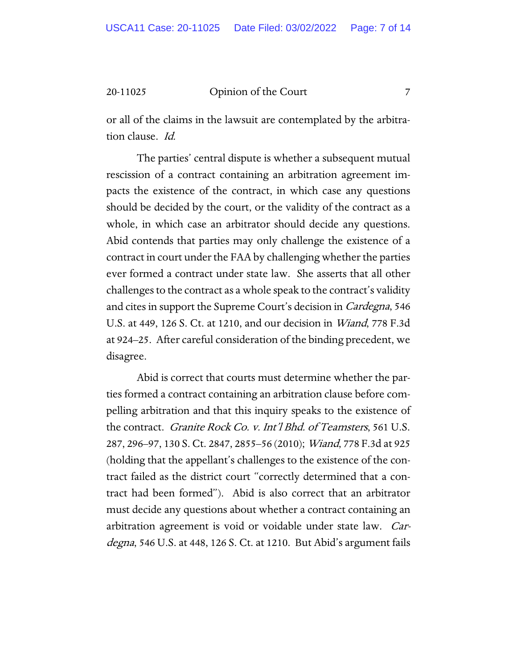or all of the claims in the lawsuit are contemplated by the arbitration clause. Id.

The parties' central dispute is whether a subsequent mutual rescission of a contract containing an arbitration agreement impacts the existence of the contract, in which case any questions should be decided by the court, or the validity of the contract as a whole, in which case an arbitrator should decide any questions. Abid contends that parties may only challenge the existence of a contract in court under the FAA by challenging whether the parties ever formed a contract under state law. She asserts that all other challenges to the contract as a whole speak to the contract's validity and cites in support the Supreme Court's decision in Cardegna, 546 U.S. at 449, 126 S. Ct. at 1210, and our decision in Wiand, 778 F.3d at 924–25. After careful consideration of the binding precedent, we disagree.

Abid is correct that courts must determine whether the parties formed a contract containing an arbitration clause before compelling arbitration and that this inquiry speaks to the existence of the contract. Granite Rock Co. v. Int'l Bhd. of Teamsters, 561 U.S. 287, 296–97, 130 S. Ct. 2847, 2855–56 (2010); Wiand, 778 F.3d at 925 (holding that the appellant's challenges to the existence of the contract failed as the district court "correctly determined that a contract had been formed"). Abid is also correct that an arbitrator must decide any questions about whether a contract containing an arbitration agreement is void or voidable under state law. Cardegna, 546 U.S. at 448, 126 S. Ct. at 1210. But Abid's argument fails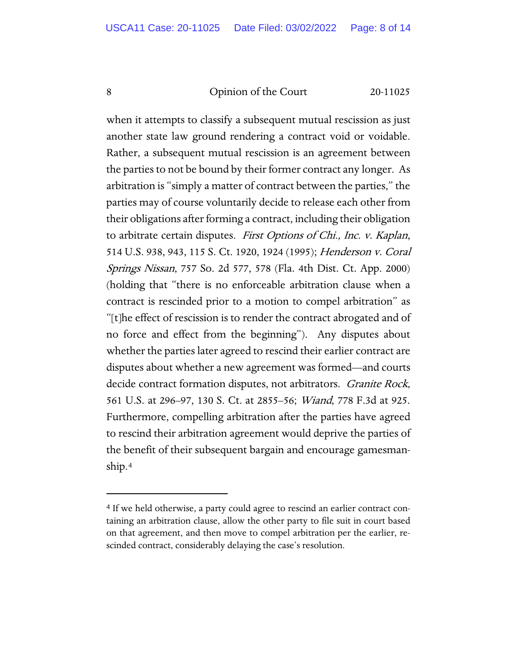when it attempts to classify a subsequent mutual rescission as just another state law ground rendering a contract void or voidable. Rather, a subsequent mutual rescission is an agreement between the parties to not be bound by their former contract any longer. As arbitration is "simply a matter of contract between the parties," the parties may of course voluntarily decide to release each other from their obligations after forming a contract, including their obligation to arbitrate certain disputes. First Options of Chi., Inc. v. Kaplan, 514 U.S. 938, 943, 115 S. Ct. 1920, 1924 (1995); Henderson v. Coral Springs Nissan, 757 So. 2d 577, 578 (Fla. 4th Dist. Ct. App. 2000) (holding that "there is no enforceable arbitration clause when a contract is rescinded prior to a motion to compel arbitration" as "[t]he effect of rescission is to render the contract abrogated and of no force and effect from the beginning"). Any disputes about whether the parties later agreed to rescind their earlier contract are disputes about whether a new agreement was formed—and courts decide contract formation disputes, not arbitrators. *Granite Rock*, 561 U.S. at 296–97, 130 S. Ct. at 2855–56; Wiand, 778 F.3d at 925. Furthermore, compelling arbitration after the parties have agreed to rescind their arbitration agreement would deprive the parties of the benefit of their subsequent bargain and encourage gamesmanship.[4](#page-7-0)

<span id="page-7-0"></span><sup>&</sup>lt;sup>4</sup> If we held otherwise, a party could agree to rescind an earlier contract containing an arbitration clause, allow the other party to file suit in court based on that agreement, and then move to compel arbitration per the earlier, rescinded contract, considerably delaying the case's resolution.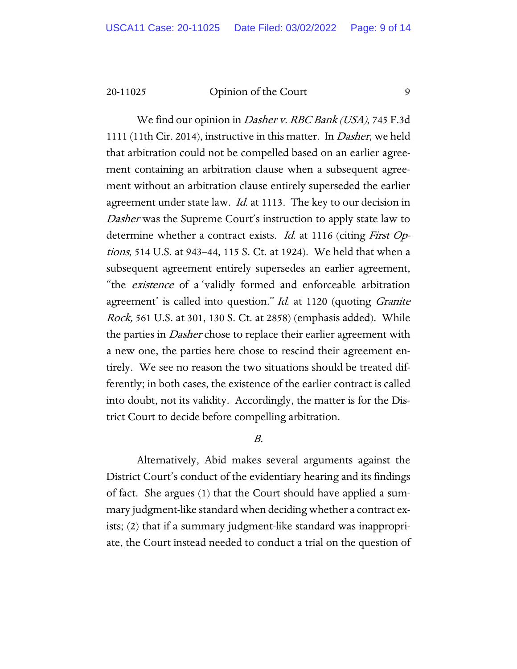We find our opinion in *Dasher v. RBC Bank (USA)*, 745 F.3d 1111 (11th Cir. 2014), instructive in this matter. In Dasher, we held that arbitration could not be compelled based on an earlier agreement containing an arbitration clause when a subsequent agreement without an arbitration clause entirely superseded the earlier agreement under state law. *Id.* at 1113. The key to our decision in Dasher was the Supreme Court's instruction to apply state law to determine whether a contract exists. *Id.* at 1116 (citing *First Op*tions, 514 U.S. at 943–44, 115 S. Ct. at 1924). We held that when a subsequent agreement entirely supersedes an earlier agreement, "the existence of a 'validly formed and enforceable arbitration agreement' is called into question." Id. at 1120 (quoting Granite Rock, 561 U.S. at 301, 130 S. Ct. at 2858) (emphasis added). While the parties in *Dasher* chose to replace their earlier agreement with a new one, the parties here chose to rescind their agreement entirely. We see no reason the two situations should be treated differently; in both cases, the existence of the earlier contract is called into doubt, not its validity. Accordingly, the matter is for the District Court to decide before compelling arbitration.

# B.

Alternatively, Abid makes several arguments against the District Court's conduct of the evidentiary hearing and its findings of fact. She argues (1) that the Court should have applied a summary judgment-like standard when deciding whether a contract exists; (2) that if a summary judgment-like standard was inappropriate, the Court instead needed to conduct a trial on the question of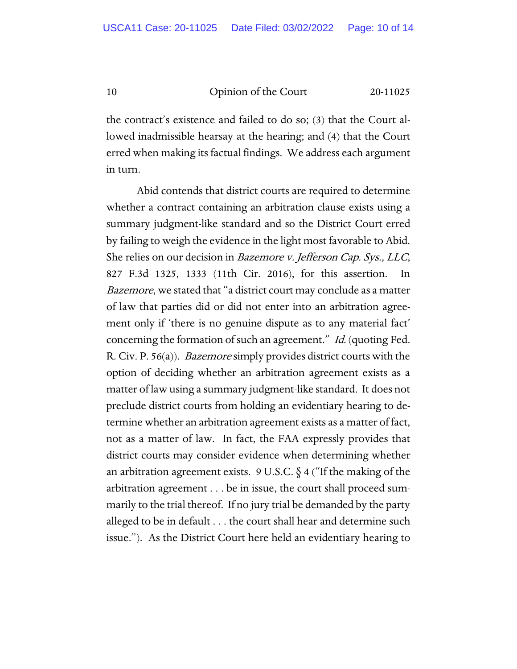the contract's existence and failed to do so; (3) that the Court allowed inadmissible hearsay at the hearing; and (4) that the Court erred when making its factual findings. We address each argument in turn.

Abid contends that district courts are required to determine whether a contract containing an arbitration clause exists using a summary judgment-like standard and so the District Court erred by failing to weigh the evidence in the light most favorable to Abid. She relies on our decision in Bazemore v. Jefferson Cap. Sys., LLC, 827 F.3d 1325, 1333 (11th Cir. 2016), for this assertion. In Bazemore, we stated that "a district court may conclude as a matter of law that parties did or did not enter into an arbitration agreement only if 'there is no genuine dispute as to any material fact' concerning the formation of such an agreement." Id. (quoting Fed. R. Civ. P. 56(a)). *Bazemore* simply provides district courts with the option of deciding whether an arbitration agreement exists as a matter of law using a summary judgment-like standard. It does not preclude district courts from holding an evidentiary hearing to determine whether an arbitration agreement exists as a matter of fact, not as a matter of law. In fact, the FAA expressly provides that district courts may consider evidence when determining whether an arbitration agreement exists.  $9 \text{ U.S.C.}$  § 4 ("If the making of the arbitration agreement . . . be in issue, the court shall proceed summarily to the trial thereof. If no jury trial be demanded by the party alleged to be in default . . . the court shall hear and determine such issue."). As the District Court here held an evidentiary hearing to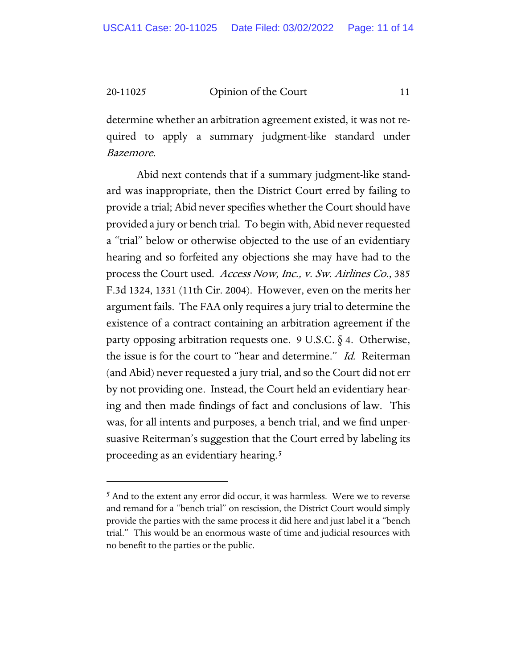determine whether an arbitration agreement existed, it was not required to apply a summary judgment-like standard under Bazemore.

Abid next contends that if a summary judgment-like standard was inappropriate, then the District Court erred by failing to provide a trial; Abid never specifies whether the Court should have provided a jury or bench trial. To begin with, Abid never requested a "trial" below or otherwise objected to the use of an evidentiary hearing and so forfeited any objections she may have had to the process the Court used. Access Now, Inc., v. Sw. Airlines Co., 385 F.3d 1324, 1331 (11th Cir. 2004). However, even on the merits her argument fails. The FAA only requires a jury trial to determine the existence of a contract containing an arbitration agreement if the party opposing arbitration requests one. 9 U.S.C.  $\S$  4. Otherwise, the issue is for the court to "hear and determine." Id. Reiterman (and Abid) never requested a jury trial, and so the Court did not err by not providing one. Instead, the Court held an evidentiary hearing and then made findings of fact and conclusions of law. This was, for all intents and purposes, a bench trial, and we find unpersuasive Reiterman's suggestion that the Court erred by labeling its proceeding as an evidentiary hearing.<sup>[5](#page-10-0)</sup>

<span id="page-10-0"></span><sup>&</sup>lt;sup>5</sup> And to the extent any error did occur, it was harmless. Were we to reverse and remand for a "bench trial" on rescission, the District Court would simply provide the parties with the same process it did here and just label it a "bench trial." This would be an enormous waste of time and judicial resources with no benefit to the parties or the public.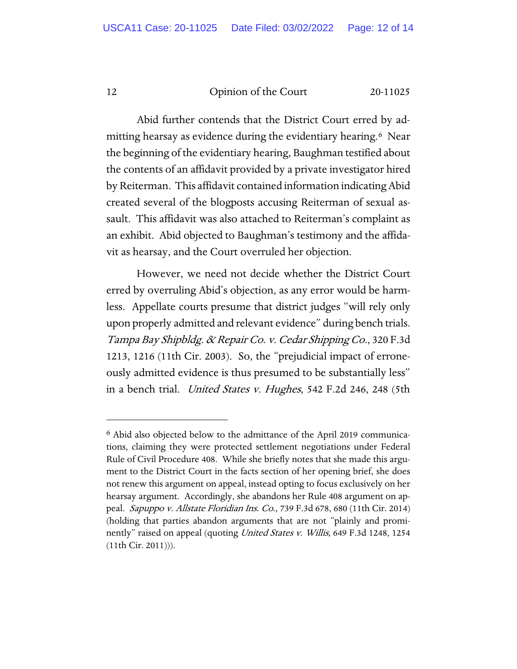Abid further contends that the District Court erred by admitting hearsay as evidence during the evidentiary hearing.[6](#page-11-0) Near the beginning of the evidentiary hearing, Baughman testified about the contents of an affidavit provided by a private investigator hired by Reiterman. This affidavit contained information indicating Abid created several of the blogposts accusing Reiterman of sexual assault. This affidavit was also attached to Reiterman's complaint as an exhibit. Abid objected to Baughman's testimony and the affidavit as hearsay, and the Court overruled her objection.

However, we need not decide whether the District Court erred by overruling Abid's objection, as any error would be harmless. Appellate courts presume that district judges "will rely only upon properly admitted and relevant evidence" during bench trials. Tampa Bay Shipbldg. & Repair Co. v. Cedar Shipping Co., 320 F.3d 1213, 1216 (11th Cir. 2003). So, the "prejudicial impact of erroneously admitted evidence is thus presumed to be substantially less" in a bench trial. *United States v. Hughes*, 542 F.2d 246, 248 (5th

<span id="page-11-0"></span><sup>6</sup> Abid also objected below to the admittance of the April 2019 communications, claiming they were protected settlement negotiations under Federal Rule of Civil Procedure 408. While she briefly notes that she made this argument to the District Court in the facts section of her opening brief, she does not renew this argument on appeal, instead opting to focus exclusively on her hearsay argument. Accordingly, she abandons her Rule 408 argument on appeal. Sapuppo v. Allstate Floridian Ins. Co., 739 F.3d 678, 680 (11th Cir. 2014) (holding that parties abandon arguments that are not "plainly and prominently" raised on appeal (quoting *United States v. Willis*, 649 F.3d 1248, 1254 (11th Cir. 2011))).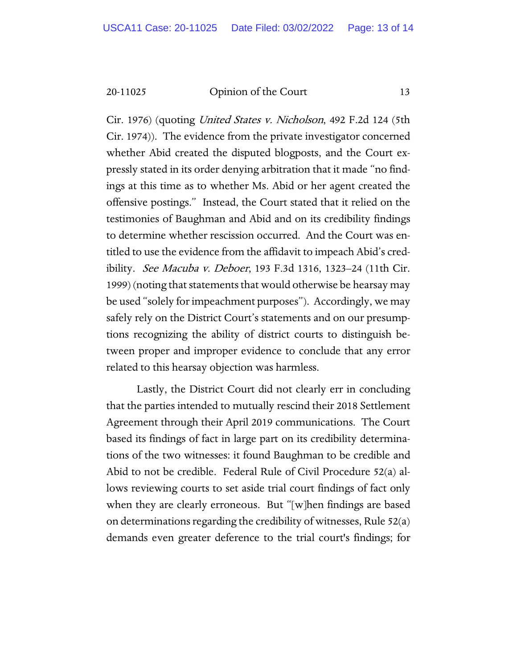Cir. 1976) (quoting *United States v. Nicholson*, 492 F.2d 124 (5th Cir. 1974)). The evidence from the private investigator concerned whether Abid created the disputed blogposts, and the Court expressly stated in its order denying arbitration that it made "no findings at this time as to whether Ms. Abid or her agent created the offensive postings." Instead, the Court stated that it relied on the testimonies of Baughman and Abid and on its credibility findings to determine whether rescission occurred. And the Court was entitled to use the evidence from the affidavit to impeach Abid's credibility. See Macuba v. Deboer, 193 F.3d 1316, 1323–24 (11th Cir. 1999) (noting that statements that would otherwise be hearsay may be used "solely for impeachment purposes"). Accordingly, we may safely rely on the District Court's statements and on our presumptions recognizing the ability of district courts to distinguish between proper and improper evidence to conclude that any error related to this hearsay objection was harmless.

Lastly, the District Court did not clearly err in concluding that the parties intended to mutually rescind their 2018 Settlement Agreement through their April 2019 communications. The Court based its findings of fact in large part on its credibility determinations of the two witnesses: it found Baughman to be credible and Abid to not be credible. Federal Rule of Civil Procedure 52(a) allows reviewing courts to set aside trial court findings of fact only when they are clearly erroneous. But "[w]hen findings are based on determinations regarding the credibility of witnesses, Rule 52(a) demands even greater deference to the trial court's findings; for